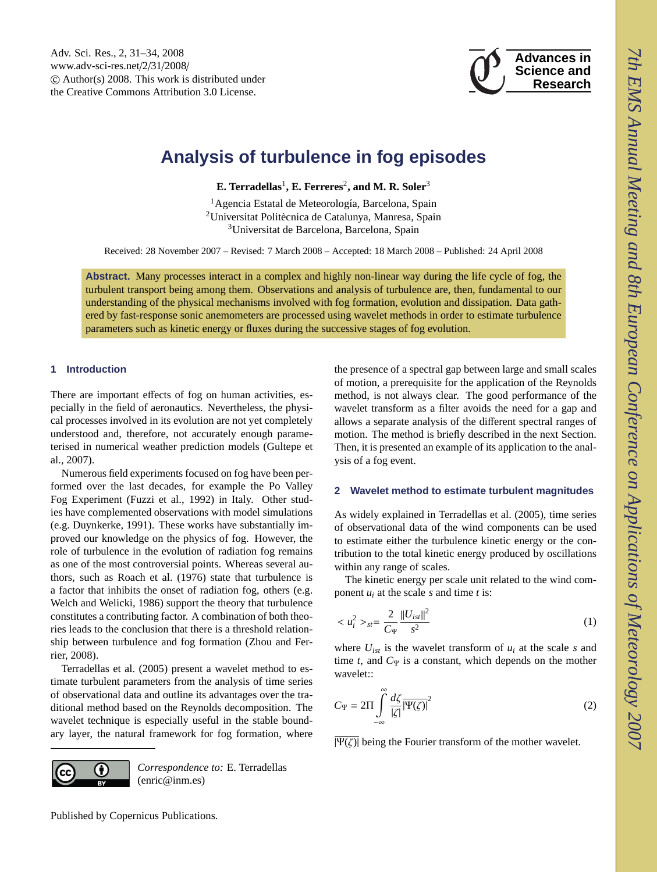

# <span id="page-0-0"></span>**Analysis of turbulence in fog episodes**

**E. Terradellas<sup>1</sup>, <b>E. Ferreres<sup>2</sup>, and M. R. Soler**<sup>3</sup>

<sup>1</sup> Agencia Estatal de Meteorología, Barcelona, Spain <sup>2</sup>Universitat Politècnica de Catalunya, Manresa, Spain <sup>3</sup>Universitat de Barcelona, Barcelona, Spain

Received: 28 November 2007 – Revised: 7 March 2008 – Accepted: 18 March 2008 – Published: 24 April 2008

**Abstract.** Many processes interact in a complex and highly non-linear way during the life cycle of fog, the turbulent transport being among them. Observations and analysis of turbulence are, then, fundamental to our understanding of the physical mechanisms involved with fog formation, evolution and dissipation. Data gathered by fast-response sonic anemometers are processed using wavelet methods in order to estimate turbulence parameters such as kinetic energy or fluxes during the successive stages of fog evolution.

# **1 Introduction**

There are important effects of fog on human activities, especially in the field of aeronautics. Nevertheless, the physical processes involved in its evolution are not yet completely understood and, therefore, not accurately enough parameterised in numerical weather prediction models (Gultepe et al., 2007).

Numerous field experiments focused on fog have been performed over the last decades, for example the Po Valley Fog Experiment (Fuzzi et al., 1992) in Italy. Other studies have complemented observations with model simulations (e.g. Duynkerke, 1991). These works have substantially improved our knowledge on the physics of fog. However, the role of turbulence in the evolution of radiation fog remains as one of the most controversial points. Whereas several authors, such as Roach et al. (1976) state that turbulence is a factor that inhibits the onset of radiation fog, others (e.g. Welch and Welicki, 1986) support the theory that turbulence constitutes a contributing factor. A combination of both theories leads to the conclusion that there is a threshold relationship between turbulence and fog formation (Zhou and Ferrier, 2008).

Terradellas et al. (2005) present a wavelet method to estimate turbulent parameters from the analysis of time series of observational data and outline its advantages over the traditional method based on the Reynolds decomposition. The wavelet technique is especially useful in the stable boundary layer, the natural framework for fog formation, where

O

*Correspondence to:* E. Terradellas (enric@inm.es)

the presence of a spectral gap between large and small scales of motion, a prerequisite for the application of the Reynolds method, is not always clear. The good performance of the wavelet transform as a filter avoids the need for a gap and allows a separate analysis of the different spectral ranges of motion. The method is briefly described in the next Section. Then, it is presented an example of its application to the analysis of a fog event.

#### **2 Wavelet method to estimate turbulent magnitudes**

As widely explained in Terradellas et al. (2005), time series of observational data of the wind components can be used to estimate either the turbulence kinetic energy or the contribution to the total kinetic energy produced by oscillations within any range of scales.

The kinetic energy per scale unit related to the wind component  $u_i$  at the scale  $s$  and time  $t$  is:

$$
\langle u_i^2 \rangle_{st} = \frac{2}{C_{\Psi}} \frac{\|U_{ist}\|^2}{s^2} \tag{1}
$$

where  $U_{ist}$  is the wavelet transform of  $u_i$  at the scale *s* and time *t*, and  $C_{\Psi}$  is a constant, which depends on the mother wavelet::

$$
C_{\Psi} = 2\Pi \int_{-\infty}^{\infty} \frac{d\zeta}{|\zeta|} \overline{\Psi(\zeta)}^2
$$
 (2)

 $|\Psi(\zeta)|$  being the Fourier transform of the mother wavelet.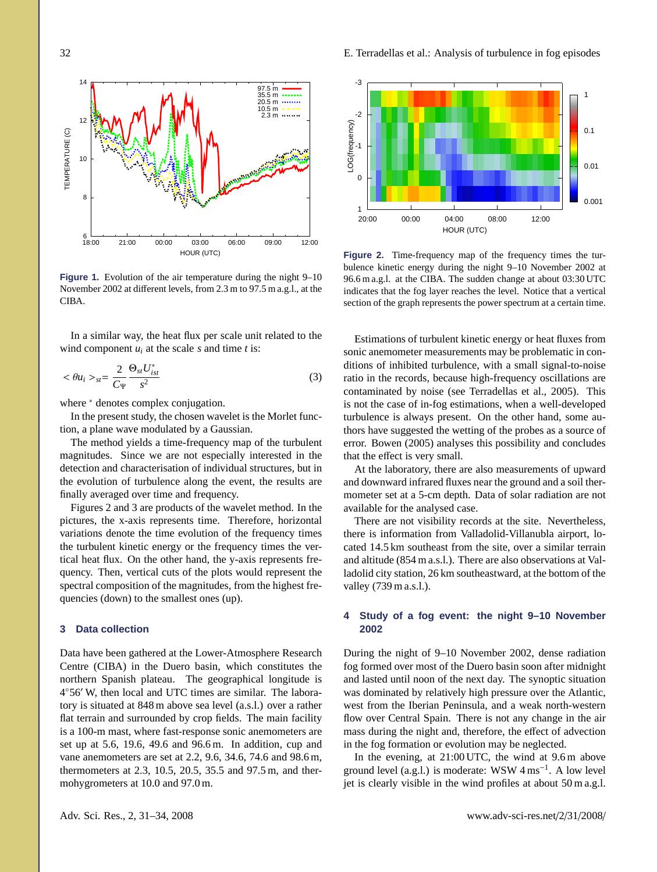

**Figure 1.** Evolution of the air temperature during the night 9–10 November 2002 at different levels, from 2.3 m to 97.5 m a.g.l., at the CIBA.

In a similar way, the heat flux per scale unit related to the wind component  $u_i$  at the scale  $s$  and time  $t$  is:

$$
\langle \theta u_i \rangle_{st} = \frac{2}{C_{\Psi}} \frac{\Theta_{st} U_{ist}^*}{s^2} \tag{3}
$$

where  $*$  denotes complex conjugation.

In the present study, the chosen wavelet is the Morlet function, a plane wave modulated by a Gaussian.

The method yields a time-frequency map of the turbulent magnitudes. Since we are not especially interested in the detection and characterisation of individual structures, but in the evolution of turbulence along the event, the results are finally averaged over time and frequency.

Figures 2 and 3 are products of the wavelet method. In the pictures, the x-axis represents time. Therefore, horizontal variations denote the time evolution of the frequency times the turbulent kinetic energy or the frequency times the vertical heat flux. On the other hand, the y-axis represents frequency. Then, vertical cuts of the plots would represent the spectral composition of the magnitudes, from the highest frequencies (down) to the smallest ones (up).

## **3 Data collection**

Data have been gathered at the Lower-Atmosphere Research Centre (CIBA) in the Duero basin, which constitutes the northern Spanish plateau. The geographical longitude is 4°56' W, then local and UTC times are similar. The laboratory is situated at 848 m above sea level (a.s.l.) over a rather flat terrain and surrounded by crop fields. The main facility is a 100-m mast, where fast-response sonic anemometers are set up at 5.6, 19.6, 49.6 and 96.6 m. In addition, cup and vane anemometers are set at 2.2, 9.6, 34.6, 74.6 and 98.6 m, thermometers at 2.3, 10.5, 20.5, 35.5 and 97.5 m, and thermohygrometers at 10.0 and 97.0 m.



**Figure 2.** Time-frequency map of the frequency times the turbulence kinetic energy during the night 9–10 November 2002 at 96.6 m a.g.l. at the CIBA. The sudden change at about 03:30 UTC indicates that the fog layer reaches the level. Notice that a vertical section of the graph represents the power spectrum at a certain time.

Estimations of turbulent kinetic energy or heat fluxes from sonic anemometer measurements may be problematic in conditions of inhibited turbulence, with a small signal-to-noise ratio in the records, because high-frequency oscillations are contaminated by noise (see Terradellas et al., 2005). This is not the case of in-fog estimations, when a well-developed turbulence is always present. On the other hand, some authors have suggested the wetting of the probes as a source of error. Bowen (2005) analyses this possibility and concludes that the effect is very small.

At the laboratory, there are also measurements of upward and downward infrared fluxes near the ground and a soil thermometer set at a 5-cm depth. Data of solar radiation are not available for the analysed case.

There are not visibility records at the site. Nevertheless, there is information from Valladolid-Villanubla airport, located 14.5 km southeast from the site, over a similar terrain and altitude (854 m a.s.l.). There are also observations at Valladolid city station, 26 km southeastward, at the bottom of the valley (739 m a.s.l.).

### **4 Study of a fog event: the night 9–10 November 2002**

During the night of 9–10 November 2002, dense radiation fog formed over most of the Duero basin soon after midnight and lasted until noon of the next day. The synoptic situation was dominated by relatively high pressure over the Atlantic, west from the Iberian Peninsula, and a weak north-western flow over Central Spain. There is not any change in the air mass during the night and, therefore, the effect of advection in the fog formation or evolution may be neglected.

In the evening, at 21:00 UTC, the wind at 9.6 m above ground level (a.g.l.) is moderate: WSW  $4 \text{ ms}^{-1}$ . A low level jet is clearly visible in the wind profiles at about 50 m a.g.l.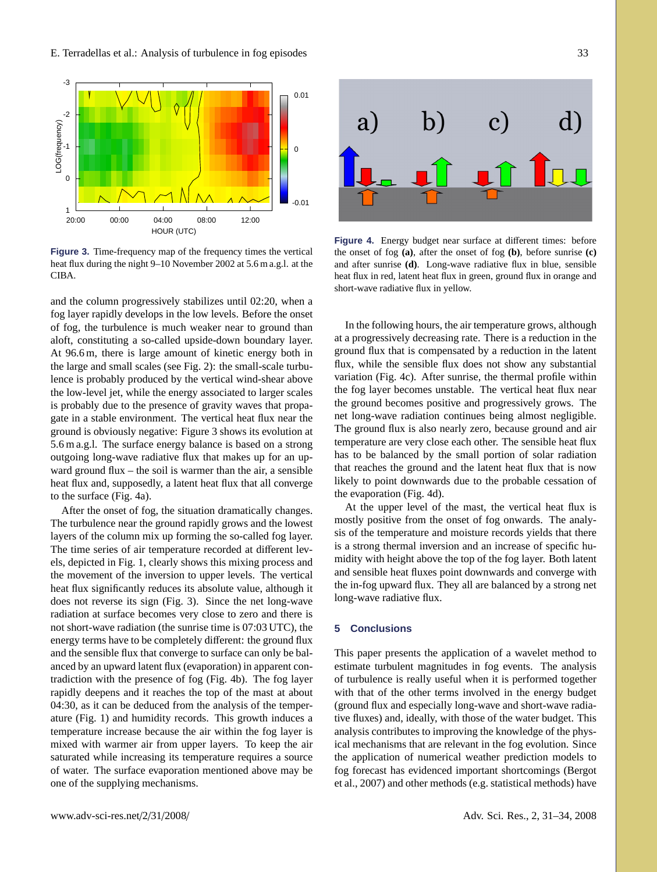

**Figure 3.** Time-frequency map of the frequency times the vertical heat flux during the night 9–10 November 2002 at 5.6 m a.g.l. at the CIBA.

and the column progressively stabilizes until 02:20, when a fog layer rapidly develops in the low levels. Before the onset of fog, the turbulence is much weaker near to ground than aloft, constituting a so-called upside-down boundary layer. At 96.6 m, there is large amount of kinetic energy both in the large and small scales (see Fig. 2): the small-scale turbulence is probably produced by the vertical wind-shear above the low-level jet, while the energy associated to larger scales is probably due to the presence of gravity waves that propagate in a stable environment. The vertical heat flux near the ground is obviously negative: Figure 3 shows its evolution at 5.6 m a.g.l. The surface energy balance is based on a strong outgoing long-wave radiative flux that makes up for an upward ground flux – the soil is warmer than the air, a sensible heat flux and, supposedly, a latent heat flux that all converge to the surface (Fig. 4a).

After the onset of fog, the situation dramatically changes. The turbulence near the ground rapidly grows and the lowest layers of the column mix up forming the so-called fog layer. The time series of air temperature recorded at different levels, depicted in Fig. 1, clearly shows this mixing process and the movement of the inversion to upper levels. The vertical heat flux significantly reduces its absolute value, although it does not reverse its sign (Fig. 3). Since the net long-wave radiation at surface becomes very close to zero and there is not short-wave radiation (the sunrise time is 07:03 UTC), the energy terms have to be completely different: the ground flux and the sensible flux that converge to surface can only be balanced by an upward latent flux (evaporation) in apparent contradiction with the presence of fog (Fig. 4b). The fog layer rapidly deepens and it reaches the top of the mast at about 04:30, as it can be deduced from the analysis of the temperature (Fig. 1) and humidity records. This growth induces a temperature increase because the air within the fog layer is mixed with warmer air from upper layers. To keep the air saturated while increasing its temperature requires a source of water. The surface evaporation mentioned above may be one of the supplying mechanisms.





**Figure 4.** Energy budget near surface at different times: before the onset of fog (a), after the onset of fog (b), before sunrise (c) and after sunrise **(d)**. Long-wave radiative flux in blue, sensible heat flux in red, latent heat flux in green, ground flux in orange and short-wave radiative flux in yellow.

that reaches the ground and the latent heat flux that is now In the following hours, the air temperature grows, although at a progressively decreasing rate. There is a reduction in the ground flux that is compensated by a reduction in the latent flux, while the sensible flux does not show any substantial variation (Fig. 4c). After sunrise, the thermal profile within the fog layer becomes unstable. The vertical heat flux near the ground becomes positive and progressively grows. The net long-wave radiation continues being almost negligible. The ground flux is also nearly zero, because ground and air temperature are very close each other. The sensible heat flux has to be balanced by the small portion of solar radiation likely to point downwards due to the probable cessation of the evaporation (Fig. 4d).

At the upper level of the mast, the vertical heat flux is mostly positive from the onset of fog onwards. The analysis of the temperature and moisture records yields that there is a strong thermal inversion and an increase of specific humidity with height above the top of the fog layer. Both latent and sensible heat fluxes point downwards and converge with the in-fog upward flux. They all are balanced by a strong net long-wave radiative flux.

# **5 Conclusions**

This paper presents the application of a wavelet method to estimate turbulent magnitudes in fog events. The analysis of turbulence is really useful when it is performed together with that of the other terms involved in the energy budget (ground flux and especially long-wave and short-wave radiative fluxes) and, ideally, with those of the water budget. This analysis contributes to improving the knowledge of the physical mechanisms that are relevant in the fog evolution. Since the application of numerical weather prediction models to fog forecast has evidenced important shortcomings (Bergot et al., 2007) and other methods (e.g. statistical methods) have